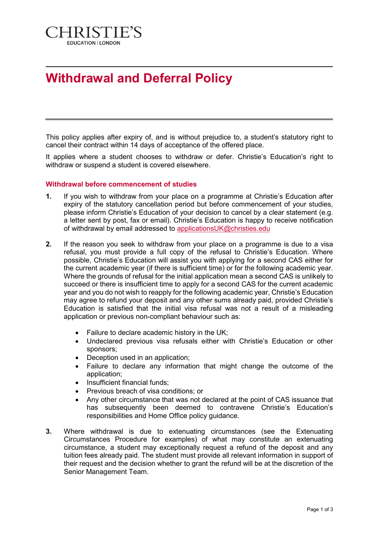

# **Withdrawal and Deferral Policy**

This policy applies after expiry of, and is without prejudice to, a student's statutory right to cancel their contract within 14 days of acceptance of the offered place.

It applies where a student chooses to withdraw or defer. Christie's Education's right to withdraw or suspend a student is covered elsewhere.

#### **Withdrawal before commencement of studies**

- **1.** If you wish to withdraw from your place on a programme at Christie's Education after expiry of the statutory cancellation period but before commencement of your studies, please inform Christie's Education of your decision to cancel by a clear statement (e.g. a letter sent by post, fax or email). Christie's Education is happy to receive notification of withdrawal by email addressed to [applicationsUK@christies.edu](mailto:applicationsUK@christies.edu)
- **2.** If the reason you seek to withdraw from your place on a programme is due to a visa refusal, you must provide a full copy of the refusal to Christie's Education. Where possible, Christie's Education will assist you with applying for a second CAS either for the current academic year (if there is sufficient time) or for the following academic year. Where the grounds of refusal for the initial application mean a second CAS is unlikely to succeed or there is insufficient time to apply for a second CAS for the current academic year and you do not wish to reapply for the following academic year, Christie's Education may agree to refund your deposit and any other sums already paid, provided Christie's Education is satisfied that the initial visa refusal was not a result of a misleading application or previous non-compliant behaviour such as:
	- Failure to declare academic history in the UK;
	- Undeclared previous visa refusals either with Christie's Education or other sponsors;
	- Deception used in an application;
	- Failure to declare any information that might change the outcome of the application;
	- Insufficient financial funds:
	- Previous breach of visa conditions; or
	- Any other circumstance that was not declared at the point of CAS issuance that has subsequently been deemed to contravene Christie's Education's responsibilities and Home Office policy guidance.
- **3.** Where withdrawal is due to extenuating circumstances (see the Extenuating Circumstances Procedure for examples) of what may constitute an extenuating circumstance, a student may exceptionally request a refund of the deposit and any tuition fees already paid. The student must provide all relevant information in support of their request and the decision whether to grant the refund will be at the discretion of the Senior Management Team.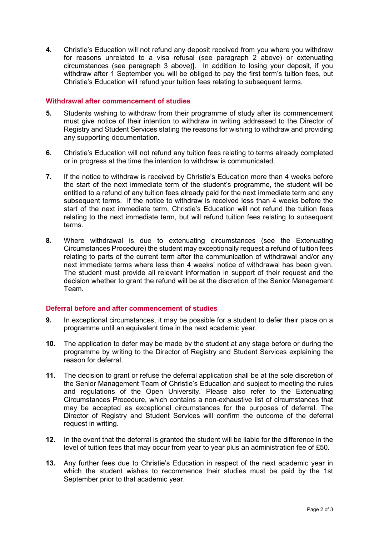**4.** Christie's Education will not refund any deposit received from you where you withdraw for reasons unrelated to a visa refusal (see paragraph 2 above) or extenuating circumstances (see paragraph 3 above)]. In addition to losing your deposit, if you withdraw after 1 September you will be obliged to pay the first term's tuition fees, but Christie's Education will refund your tuition fees relating to subsequent terms.

### **Withdrawal after commencement of studies**

- **5.** Students wishing to withdraw from their programme of study after its commencement must give notice of their intention to withdraw in writing addressed to the Director of Registry and Student Services stating the reasons for wishing to withdraw and providing any supporting documentation.
- **6.** Christie's Education will not refund any tuition fees relating to terms already completed or in progress at the time the intention to withdraw is communicated.
- **7.** If the notice to withdraw is received by Christie's Education more than 4 weeks before the start of the next immediate term of the student's programme, the student will be entitled to a refund of any tuition fees already paid for the next immediate term and any subsequent terms. If the notice to withdraw is received less than 4 weeks before the start of the next immediate term, Christie's Education will not refund the tuition fees relating to the next immediate term, but will refund tuition fees relating to subsequent terms.
- **8.** Where withdrawal is due to extenuating circumstances (see the Extenuating Circumstances Procedure) the student may exceptionally request a refund of tuition fees relating to parts of the current term after the communication of withdrawal and/or any next immediate terms where less than 4 weeks' notice of withdrawal has been given. The student must provide all relevant information in support of their request and the decision whether to grant the refund will be at the discretion of the Senior Management Team.

## **Deferral before and after commencement of studies**

- **9.** In exceptional circumstances, it may be possible for a student to defer their place on a programme until an equivalent time in the next academic year.
- **10.** The application to defer may be made by the student at any stage before or during the programme by writing to the Director of Registry and Student Services explaining the reason for deferral.
- **11.** The decision to grant or refuse the deferral application shall be at the sole discretion of the Senior Management Team of Christie's Education and subject to meeting the rules and regulations of the Open University. Please also refer to the Extenuating Circumstances Procedure, which contains a non-exhaustive list of circumstances that may be accepted as exceptional circumstances for the purposes of deferral. The Director of Registry and Student Services will confirm the outcome of the deferral request in writing.
- **12.** In the event that the deferral is granted the student will be liable for the difference in the level of tuition fees that may occur from year to year plus an administration fee of £50.
- **13.** Any further fees due to Christie's Education in respect of the next academic year in which the student wishes to recommence their studies must be paid by the 1st September prior to that academic year.